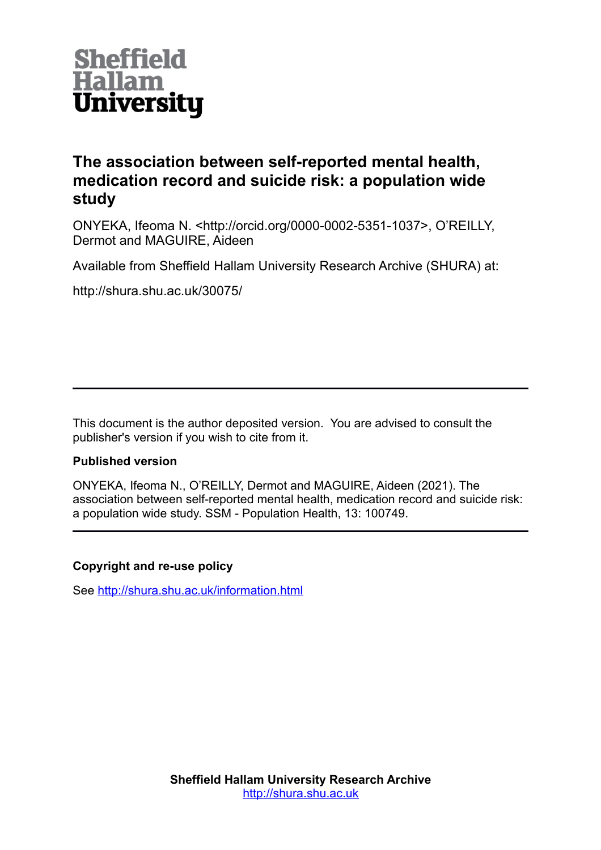

# **The association between self-reported mental health, medication record and suicide risk: a population wide study**

ONYEKA, Ifeoma N. <http://orcid.org/0000-0002-5351-1037>, O'REILLY, Dermot and MAGUIRE, Aideen

Available from Sheffield Hallam University Research Archive (SHURA) at:

http://shura.shu.ac.uk/30075/

This document is the author deposited version. You are advised to consult the publisher's version if you wish to cite from it.

## **Published version**

ONYEKA, Ifeoma N., O'REILLY, Dermot and MAGUIRE, Aideen (2021). The association between self-reported mental health, medication record and suicide risk: a population wide study. SSM - Population Health, 13: 100749.

## **Copyright and re-use policy**

See<http://shura.shu.ac.uk/information.html>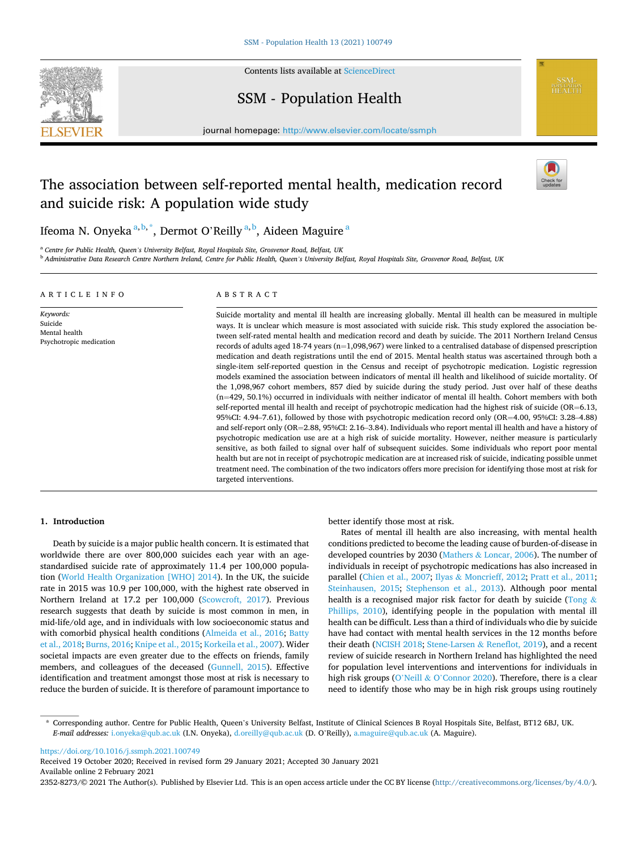

Contents lists available at [ScienceDirect](www.sciencedirect.com/science/journal/23528273)

## SSM - Population Health



## The association between self-reported mental health, medication record and suicide risk: A population wide study



**SSM-**<br>POPULATION<br>HEALTH

Ifeoma N. Onyeka $^{\mathrm{a,b},^*},$  Dermot O'Reilly $^{\mathrm{a,b}},$  Aideen Maguire  $^{\mathrm{a}}$ 

<sup>a</sup> *Centre for Public Health, Queen's University Belfast, Royal Hospitals Site, Grosvenor Road, Belfast, UK* 

<sup>b</sup> *Administrative Data Research Centre Northern Ireland, Centre for Public Health, Queen's University Belfast, Royal Hospitals Site, Grosvenor Road, Belfast, UK* 

## ARTICLE INFO

*Keywords:*  Suicide Mental health Psychotropic medication

## ABSTRACT

Suicide mortality and mental ill health are increasing globally. Mental ill health can be measured in multiple ways. It is unclear which measure is most associated with suicide risk. This study explored the association between self-rated mental health and medication record and death by suicide. The 2011 Northern Ireland Census records of adults aged 18-74 years ( $n=1,098,967$ ) were linked to a centralised database of dispensed prescription medication and death registrations until the end of 2015. Mental health status was ascertained through both a single-item self-reported question in the Census and receipt of psychotropic medication. Logistic regression models examined the association between indicators of mental ill health and likelihood of suicide mortality. Of the 1,098,967 cohort members, 857 died by suicide during the study period. Just over half of these deaths (n=429, 50.1%) occurred in individuals with neither indicator of mental ill health. Cohort members with both self-reported mental ill health and receipt of psychotropic medication had the highest risk of suicide (OR=6.13, 95%CI: 4.94–7.61), followed by those with psychotropic medication record only (OR=4.00, 95%CI: 3.28–4.88) and self-report only (OR=2.88, 95%CI: 2.16–3.84). Individuals who report mental ill health and have a history of psychotropic medication use are at a high risk of suicide mortality. However, neither measure is particularly sensitive, as both failed to signal over half of subsequent suicides. Some individuals who report poor mental health but are not in receipt of psychotropic medication are at increased risk of suicide, indicating possible unmet treatment need. The combination of the two indicators offers more precision for identifying those most at risk for targeted interventions.

## **1. Introduction**

Death by suicide is a major public health concern. It is estimated that worldwide there are over 800,000 suicides each year with an agestandardised suicide rate of approximately 11.4 per 100,000 population [\(World Health Organization \[WHO\] 2014\)](#page-8-0). In the UK, the suicide rate in 2015 was 10.9 per 100,000, with the highest rate observed in Northern Ireland at 17.2 per 100,000 ([Scowcroft, 2017](#page-7-0)). Previous research suggests that death by suicide is most common in men, in mid-life/old age, and in individuals with low socioeconomic status and with comorbid physical health conditions ([Almeida et al., 2016](#page-6-0); [Batty](#page-6-0)  [et al., 2018](#page-6-0); [Burns, 2016](#page-6-0); [Knipe et al., 2015; Korkeila et al., 2007](#page-7-0)). Wider societal impacts are even greater due to the effects on friends, family members, and colleagues of the deceased [\(Gunnell, 2015\)](#page-7-0). Effective identification and treatment amongst those most at risk is necessary to reduce the burden of suicide. It is therefore of paramount importance to

better identify those most at risk.

Rates of mental ill health are also increasing, with mental health conditions predicted to become the leading cause of burden-of-disease in developed countries by 2030 (Mathers & [Loncar, 2006\)](#page-7-0). The number of individuals in receipt of psychotropic medications has also increased in parallel ([Chien et al., 2007;](#page-6-0) Ilyas & [Moncrieff, 2012; Pratt et al., 2011](#page-7-0); [Steinhausen, 2015](#page-7-0); [Stephenson et al., 2013](#page-7-0)). Although poor mental health is a recognised major risk factor for death by suicide ([Tong](#page-7-0)  $\&$ [Phillips, 2010\)](#page-7-0), identifying people in the population with mental ill health can be difficult. Less than a third of individuals who die by suicide have had contact with mental health services in the 12 months before their death ([NCISH 2018](#page-7-0); Stene-Larsen & [Reneflot, 2019](#page-7-0)), and a recent review of suicide research in Northern Ireland has highlighted the need for population level interventions and interventions for individuals in high risk groups (O'Neill & O'[Connor 2020\)](#page-7-0). Therefore, there is a clear need to identify those who may be in high risk groups using routinely

<https://doi.org/10.1016/j.ssmph.2021.100749>

Available online 2 February 2021 Received 19 October 2020; Received in revised form 29 January 2021; Accepted 30 January 2021

2352-8273/© 2021 The Author(s). Published by Elsevier Ltd. This is an open access article under the CC BY license [\(http://creativecommons.org/licenses/by/4.0/\)](http://creativecommons.org/licenses/by/4.0/).

<sup>\*</sup> Corresponding author. Centre for Public Health, Queen's University Belfast, Institute of Clinical Sciences B Royal Hospitals Site, Belfast, BT12 6BJ, UK. *E-mail addresses:* [i.onyeka@qub.ac.uk](mailto:i.onyeka@qub.ac.uk) (I.N. Onyeka), [d.oreilly@qub.ac.uk](mailto:d.oreilly@qub.ac.uk) (D. O'Reilly), [a.maguire@qub.ac.uk](mailto:a.maguire@qub.ac.uk) (A. Maguire).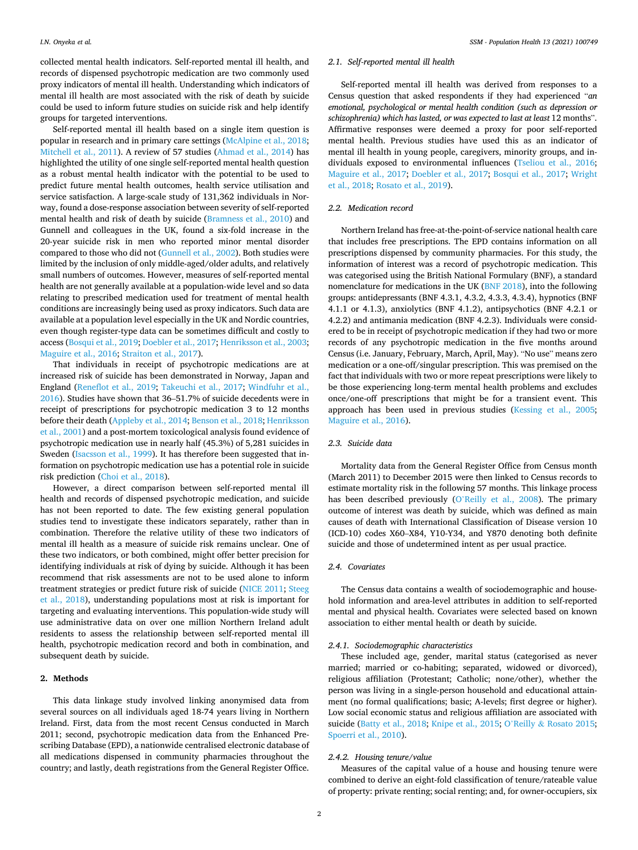collected mental health indicators. Self-reported mental ill health, and records of dispensed psychotropic medication are two commonly used proxy indicators of mental ill health. Understanding which indicators of mental ill health are most associated with the risk of death by suicide could be used to inform future studies on suicide risk and help identify groups for targeted interventions.

Self-reported mental ill health based on a single item question is popular in research and in primary care settings ([McAlpine et al., 2018](#page-7-0); [Mitchell et al., 2011\)](#page-7-0). A review of 57 studies ([Ahmad et al., 2014](#page-6-0)) has highlighted the utility of one single self-reported mental health question as a robust mental health indicator with the potential to be used to predict future mental health outcomes, health service utilisation and service satisfaction. A large-scale study of 131,362 individuals in Norway, found a dose-response association between severity of self-reported mental health and risk of death by suicide [\(Bramness et al., 2010](#page-6-0)) and Gunnell and colleagues in the UK, found a six-fold increase in the 20-year suicide risk in men who reported minor mental disorder compared to those who did not ([Gunnell et al., 2002\)](#page-7-0). Both studies were limited by the inclusion of only middle-aged/older adults, and relatively small numbers of outcomes. However, measures of self-reported mental health are not generally available at a population-wide level and so data relating to prescribed medication used for treatment of mental health conditions are increasingly being used as proxy indicators. Such data are available at a population level especially in the UK and Nordic countries, even though register-type data can be sometimes difficult and costly to access [\(Bosqui et al., 2019](#page-6-0); [Doebler et al., 2017;](#page-6-0) [Henriksson et al., 2003](#page-7-0); [Maguire et al., 2016](#page-7-0); [Straiton et al., 2017\)](#page-7-0).

That individuals in receipt of psychotropic medications are at increased risk of suicide has been demonstrated in Norway, Japan and England [\(Reneflot et al., 2019;](#page-7-0) [Takeuchi et al., 2017;](#page-7-0) [Windfuhr et al.,](#page-7-0)  [2016\)](#page-7-0). Studies have shown that 36–51.7% of suicide decedents were in receipt of prescriptions for psychotropic medication 3 to 12 months before their death ([Appleby et al., 2014; Benson et al., 2018](#page-6-0); [Henriksson](#page-7-0)  [et al., 2001\)](#page-7-0) and a post-mortem toxicological analysis found evidence of psychotropic medication use in nearly half (45.3%) of 5,281 suicides in Sweden [\(Isacsson et al., 1999](#page-7-0)). It has therefore been suggested that information on psychotropic medication use has a potential role in suicide risk prediction [\(Choi et al., 2018](#page-6-0)).

However, a direct comparison between self-reported mental ill health and records of dispensed psychotropic medication, and suicide has not been reported to date. The few existing general population studies tend to investigate these indicators separately, rather than in combination. Therefore the relative utility of these two indicators of mental ill health as a measure of suicide risk remains unclear. One of these two indicators, or both combined, might offer better precision for identifying individuals at risk of dying by suicide. Although it has been recommend that risk assessments are not to be used alone to inform treatment strategies or predict future risk of suicide ([NICE 2011](#page-7-0); [Steeg](#page-7-0)  [et al., 2018](#page-7-0)), understanding populations most at risk is important for targeting and evaluating interventions. This population-wide study will use administrative data on over one million Northern Ireland adult residents to assess the relationship between self-reported mental ill health, psychotropic medication record and both in combination, and subsequent death by suicide.

#### **2. Methods**

This data linkage study involved linking anonymised data from several sources on all individuals aged 18-74 years living in Northern Ireland. First, data from the most recent Census conducted in March 2011; second, psychotropic medication data from the Enhanced Prescribing Database (EPD), a nationwide centralised electronic database of all medications dispensed in community pharmacies throughout the country; and lastly, death registrations from the General Register Office.

## *2.1. Self-reported mental ill health*

Self-reported mental ill health was derived from responses to a Census question that asked respondents if they had experienced "*an emotional, psychological or mental health condition (such as depression or schizophrenia) which has lasted, or was expected to last at least* 12 months". Affirmative responses were deemed a proxy for poor self-reported mental health. Previous studies have used this as an indicator of mental ill health in young people, caregivers, minority groups, and individuals exposed to environmental influences [\(Tseliou et al., 2016](#page-7-0); [Maguire et al., 2017;](#page-7-0) [Doebler et al., 2017;](#page-6-0) [Bosqui et al., 2017](#page-6-0); [Wright](#page-8-0)  [et al., 2018;](#page-8-0) [Rosato et al., 2019\)](#page-7-0).

#### *2.2. Medication record*

Northern Ireland has free-at-the-point-of-service national health care that includes free prescriptions. The EPD contains information on all prescriptions dispensed by community pharmacies. For this study, the information of interest was a record of psychotropic medication. This was categorised using the British National Formulary (BNF), a standard nomenclature for medications in the UK [\(BNF 2018](#page-6-0)), into the following groups: antidepressants (BNF 4.3.1, 4.3.2, 4.3.3, 4.3.4), hypnotics (BNF 4.1.1 or 4.1.3), anxiolytics (BNF 4.1.2), antipsychotics (BNF 4.2.1 or 4.2.2) and antimania medication (BNF 4.2.3). Individuals were considered to be in receipt of psychotropic medication if they had two or more records of any psychotropic medication in the five months around Census (i.e. January, February, March, April, May). "No use" means zero medication or a one-off/singular prescription. This was premised on the fact that individuals with two or more repeat prescriptions were likely to be those experiencing long-term mental health problems and excludes once/one-off prescriptions that might be for a transient event. This approach has been used in previous studies [\(Kessing et al., 2005](#page-7-0); [Maguire et al., 2016](#page-7-0)).

#### *2.3. Suicide data*

Mortality data from the General Register Office from Census month (March 2011) to December 2015 were then linked to Census records to estimate mortality risk in the following 57 months. This linkage process has been described previously (O'[Reilly et al., 2008\)](#page-7-0). The primary outcome of interest was death by suicide, which was defined as main causes of death with International Classification of Disease version 10 (ICD-10) codes X60–X84, Y10-Y34, and Y870 denoting both definite suicide and those of undetermined intent as per usual practice.

## *2.4. Covariates*

The Census data contains a wealth of sociodemographic and household information and area-level attributes in addition to self-reported mental and physical health. Covariates were selected based on known association to either mental health or death by suicide.

## *2.4.1. Sociodemographic characteristics*

These included age, gender, marital status (categorised as never married; married or co-habiting; separated, widowed or divorced), religious affiliation (Protestant; Catholic; none/other), whether the person was living in a single-person household and educational attainment (no formal qualifications; basic; A-levels; first degree or higher). Low social economic status and religious affiliation are associated with suicide ([Batty et al., 2018](#page-6-0); [Knipe et al., 2015](#page-7-0); O'Reilly & [Rosato 2015](#page-7-0); [Spoerri et al., 2010\)](#page-7-0).

## *2.4.2. Housing tenure/value*

Measures of the capital value of a house and housing tenure were combined to derive an eight-fold classification of tenure/rateable value of property: private renting; social renting; and, for owner-occupiers, six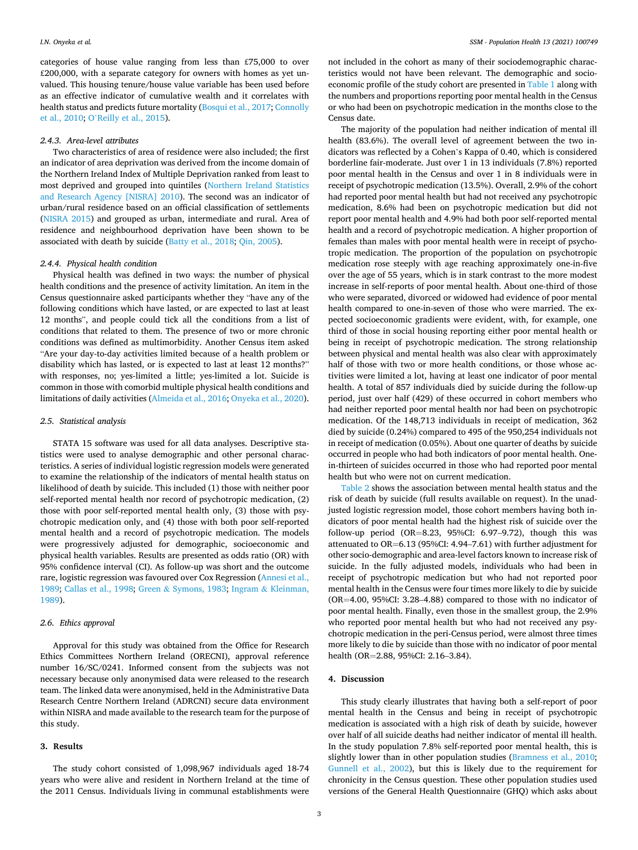categories of house value ranging from less than £75,000 to over £200,000, with a separate category for owners with homes as yet unvalued. This housing tenure/house value variable has been used before as an effective indicator of cumulative wealth and it correlates with health status and predicts future mortality ([Bosqui et al., 2017](#page-6-0); [Connolly](#page-6-0)  [et al., 2010;](#page-6-0) O'[Reilly et al., 2015](#page-7-0)).

#### *2.4.3. Area-level attributes*

Two characteristics of area of residence were also included; the first an indicator of area deprivation was derived from the income domain of the Northern Ireland Index of Multiple Deprivation ranked from least to most deprived and grouped into quintiles ([Northern Ireland Statistics](#page-7-0)  [and Research Agency \[NISRA\] 2010\)](#page-7-0). The second was an indicator of urban/rural residence based on an official classification of settlements ([NISRA 2015\)](#page-7-0) and grouped as urban, intermediate and rural. Area of residence and neighbourhood deprivation have been shown to be associated with death by suicide ([Batty et al., 2018;](#page-6-0) [Qin, 2005\)](#page-7-0).

## *2.4.4. Physical health condition*

Physical health was defined in two ways: the number of physical health conditions and the presence of activity limitation. An item in the Census questionnaire asked participants whether they "have any of the following conditions which have lasted, or are expected to last at least 12 months", and people could tick all the conditions from a list of conditions that related to them. The presence of two or more chronic conditions was defined as multimorbidity. Another Census item asked "Are your day-to-day activities limited because of a health problem or disability which has lasted, or is expected to last at least 12 months?" with responses, no; yes-limited a little; yes-limited a lot. Suicide is common in those with comorbid multiple physical health conditions and limitations of daily activities ([Almeida et al., 2016;](#page-6-0) [Onyeka et al., 2020](#page-7-0)).

#### *2.5. Statistical analysis*

STATA 15 software was used for all data analyses. Descriptive statistics were used to analyse demographic and other personal characteristics. A series of individual logistic regression models were generated to examine the relationship of the indicators of mental health status on likelihood of death by suicide. This included (1) those with neither poor self-reported mental health nor record of psychotropic medication, (2) those with poor self-reported mental health only, (3) those with psychotropic medication only, and (4) those with both poor self-reported mental health and a record of psychotropic medication. The models were progressively adjusted for demographic, socioeconomic and physical health variables. Results are presented as odds ratio (OR) with 95% confidence interval (CI). As follow-up was short and the outcome rare, logistic regression was favoured over Cox Regression ([Annesi et al.,](#page-6-0)  [1989; Callas et al., 1998](#page-6-0); Green & [Symons, 1983](#page-7-0); Ingram & [Kleinman,](#page-7-0)  [1989\)](#page-7-0).

## *2.6. Ethics approval*

Approval for this study was obtained from the Office for Research Ethics Committees Northern Ireland (ORECNI), approval reference number 16/SC/0241. Informed consent from the subjects was not necessary because only anonymised data were released to the research team. The linked data were anonymised, held in the Administrative Data Research Centre Northern Ireland (ADRCNI) secure data environment within NISRA and made available to the research team for the purpose of this study.

## **3. Results**

The study cohort consisted of 1,098,967 individuals aged 18-74 years who were alive and resident in Northern Ireland at the time of the 2011 Census. Individuals living in communal establishments were

not included in the cohort as many of their sociodemographic characteristics would not have been relevant. The demographic and socioeconomic profile of the study cohort are presented in [Table 1](#page-4-0) along with the numbers and proportions reporting poor mental health in the Census or who had been on psychotropic medication in the months close to the Census date.

The majority of the population had neither indication of mental ill health (83.6%). The overall level of agreement between the two indicators was reflected by a Cohen's Kappa of 0.40, which is considered borderline fair-moderate. Just over 1 in 13 individuals (7.8%) reported poor mental health in the Census and over 1 in 8 individuals were in receipt of psychotropic medication (13.5%). Overall, 2.9% of the cohort had reported poor mental health but had not received any psychotropic medication, 8.6% had been on psychotropic medication but did not report poor mental health and 4.9% had both poor self-reported mental health and a record of psychotropic medication. A higher proportion of females than males with poor mental health were in receipt of psychotropic medication. The proportion of the population on psychotropic medication rose steeply with age reaching approximately one-in-five over the age of 55 years, which is in stark contrast to the more modest increase in self-reports of poor mental health. About one-third of those who were separated, divorced or widowed had evidence of poor mental health compared to one-in-seven of those who were married. The expected socioeconomic gradients were evident, with, for example, one third of those in social housing reporting either poor mental health or being in receipt of psychotropic medication. The strong relationship between physical and mental health was also clear with approximately half of those with two or more health conditions, or those whose activities were limited a lot, having at least one indicator of poor mental health. A total of 857 individuals died by suicide during the follow-up period, just over half (429) of these occurred in cohort members who had neither reported poor mental health nor had been on psychotropic medication. Of the 148,713 individuals in receipt of medication, 362 died by suicide (0.24%) compared to 495 of the 950,254 individuals not in receipt of medication (0.05%). About one quarter of deaths by suicide occurred in people who had both indicators of poor mental health. Onein-thirteen of suicides occurred in those who had reported poor mental health but who were not on current medication.

[Table 2](#page-5-0) shows the association between mental health status and the risk of death by suicide (full results available on request). In the unadjusted logistic regression model, those cohort members having both indicators of poor mental health had the highest risk of suicide over the follow-up period  $(OR=8.23, 95\% CI: 6.97-9.72)$ , though this was attenuated to OR=6.13 (95%CI: 4.94–7.61) with further adjustment for other socio-demographic and area-level factors known to increase risk of suicide. In the fully adjusted models, individuals who had been in receipt of psychotropic medication but who had not reported poor mental health in the Census were four times more likely to die by suicide (OR=4.00, 95%CI: 3.28–4.88) compared to those with no indicator of poor mental health. Finally, even those in the smallest group, the 2.9% who reported poor mental health but who had not received any psychotropic medication in the peri-Census period, were almost three times more likely to die by suicide than those with no indicator of poor mental health (OR=2.88, 95%CI: 2.16–3.84).

## **4. Discussion**

This study clearly illustrates that having both a self-report of poor mental health in the Census and being in receipt of psychotropic medication is associated with a high risk of death by suicide, however over half of all suicide deaths had neither indicator of mental ill health. In the study population 7.8% self-reported poor mental health, this is slightly lower than in other population studies [\(Bramness et al., 2010](#page-6-0); [Gunnell et al., 2002\)](#page-7-0), but this is likely due to the requirement for chronicity in the Census question. These other population studies used versions of the General Health Questionnaire (GHQ) which asks about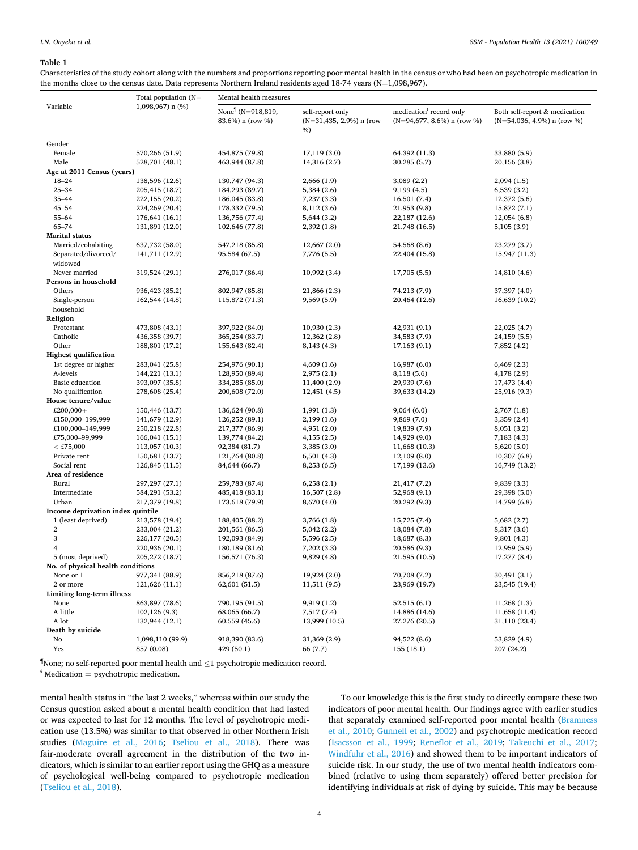#### <span id="page-4-0"></span>**Table 1**

Characteristics of the study cohort along with the numbers and proportions reporting poor mental health in the census or who had been on psychotropic medication in the months close to the census date. Data represents Northern Ireland residents aged 18-74 years (N=1,098,967).

|                                   | Total population $(N=$<br>1,098,967) n (%) | Mental health measures                            |                                                         |                                                                      |                                                                |  |  |  |  |
|-----------------------------------|--------------------------------------------|---------------------------------------------------|---------------------------------------------------------|----------------------------------------------------------------------|----------------------------------------------------------------|--|--|--|--|
| Variable                          |                                            | None <sup>1</sup> (N=918,819,<br>83.6%) n (row %) | self-report only<br>$(N=31, 435, 2.9%)$ n (row<br>$%$ ) | medication <sup>t</sup> record only<br>$(N=94,677, 8.6\%)$ n (row %) | Both self-report & medication<br>$(N=54,036, 4.9\%)$ n (row %) |  |  |  |  |
| Gender                            |                                            |                                                   |                                                         |                                                                      |                                                                |  |  |  |  |
| Female                            | 570,266 (51.9)                             | 454,875 (79.8)                                    | 17,119 (3.0)                                            | 64,392 (11.3)                                                        | 33,880 (5.9)                                                   |  |  |  |  |
| Male                              | 528,701 (48.1)                             | 463,944 (87.8)                                    | 14,316 (2.7)                                            | 30,285 (5.7)                                                         | 20,156 (3.8)                                                   |  |  |  |  |
| Age at 2011 Census (years)        |                                            |                                                   |                                                         |                                                                      |                                                                |  |  |  |  |
| $18 - 24$                         | 138,596 (12.6)                             | 130,747 (94.3)                                    | 2,666 (1.9)                                             | 3,089(2.2)                                                           | 2,094 (1.5)                                                    |  |  |  |  |
| $25 - 34$                         | 205,415 (18.7)                             | 184,293 (89.7)                                    | 5,384 (2.6)                                             | 9,199(4.5)                                                           | 6,539 (3.2)                                                    |  |  |  |  |
| $35 - 44$                         | 222,155 (20.2)                             | 186,045 (83.8)                                    | 7,237 (3.3)                                             | 16,501 (7.4)                                                         | 12,372 (5.6)                                                   |  |  |  |  |
| $45 - 54$                         | 224,269 (20.4)                             | 178,332 (79.5)                                    | 8,112 (3.6)                                             | 21,953 (9.8)                                                         | 15,872 (7.1)                                                   |  |  |  |  |
| 55-64                             | 176,641 (16.1)                             | 136,756 (77.4)                                    | 5,644 (3.2)                                             | 22,187 (12.6)                                                        | 12,054 (6.8)                                                   |  |  |  |  |
| 65-74                             | 131,891 (12.0)                             | 102,646 (77.8)                                    | 2,392(1.8)                                              | 21,748 (16.5)                                                        | 5,105(3.9)                                                     |  |  |  |  |
| <b>Marital status</b>             |                                            |                                                   |                                                         |                                                                      |                                                                |  |  |  |  |
| Married/cohabiting                | 637,732 (58.0)                             | 547,218 (85.8)                                    | 12,667 (2.0)                                            | 54,568 (8.6)                                                         | 23,279 (3.7)                                                   |  |  |  |  |
| Separated/divorced/               | 141,711 (12.9)                             | 95,584 (67.5)                                     | 7,776 (5.5)                                             | 22,404 (15.8)                                                        | 15,947 (11.3)                                                  |  |  |  |  |
| widowed                           |                                            |                                                   |                                                         |                                                                      |                                                                |  |  |  |  |
| Never married                     | 319,524 (29.1)                             | 276,017 (86.4)                                    | 10,992 (3.4)                                            | 17,705 (5.5)                                                         | 14,810 (4.6)                                                   |  |  |  |  |
| Persons in household              |                                            |                                                   |                                                         |                                                                      |                                                                |  |  |  |  |
| Others                            | 936, 423 (85.2)                            | 802,947 (85.8)                                    | 21,866 (2.3)                                            | 74,213 (7.9)                                                         | 37,397 (4.0)                                                   |  |  |  |  |
| Single-person                     | 162,544 (14.8)                             | 115,872 (71.3)                                    | 9,569(5.9)                                              | 20,464 (12.6)                                                        | 16,639 (10.2)                                                  |  |  |  |  |
| household                         |                                            |                                                   |                                                         |                                                                      |                                                                |  |  |  |  |
| Religion                          |                                            |                                                   |                                                         |                                                                      |                                                                |  |  |  |  |
| Protestant                        | 473,808 (43.1)                             | 397,922 (84.0)                                    | 10,930 (2.3)                                            | 42,931 (9.1)                                                         | 22,025 (4.7)                                                   |  |  |  |  |
| Catholic                          | 436,358 (39.7)                             | 365,254 (83.7)                                    | 12,362 (2.8)                                            | 34,583 (7.9)                                                         | 24,159 (5.5)                                                   |  |  |  |  |
| Other                             | 188,801 (17.2)                             | 155,643 (82.4)                                    | 8,143 (4.3)                                             | 17,163 (9.1)                                                         | 7,852 (4.2)                                                    |  |  |  |  |
| <b>Highest qualification</b>      |                                            |                                                   |                                                         |                                                                      |                                                                |  |  |  |  |
| 1st degree or higher              | 283,041 (25.8)                             | 254,976 (90.1)                                    | 4,609(1.6)                                              | 16,987(6.0)                                                          | 6,469(2.3)                                                     |  |  |  |  |
| A-levels                          | 144,221 (13.1)                             | 128,950 (89.4)                                    | 2,975(2.1)                                              | 8,118 (5.6)                                                          | 4,178 (2.9)                                                    |  |  |  |  |
| Basic education                   | 393,097 (35.8)                             | 334,285 (85.0)                                    | 11,400 (2.9)                                            | 29,939 (7.6)                                                         | 17,473 (4.4)                                                   |  |  |  |  |
| No qualification                  | 278,608 (25.4)                             | 200,608 (72.0)                                    | 12,451 (4.5)                                            | 39,633 (14.2)                                                        | 25,916 (9.3)                                                   |  |  |  |  |
| House tenure/value                |                                            |                                                   |                                                         |                                                                      |                                                                |  |  |  |  |
| £200,000+                         | 150,446 (13.7)                             | 136,624 (90.8)                                    | 1,991(1.3)                                              | 9,064(6.0)                                                           | 2,767 (1.8)                                                    |  |  |  |  |
| £150,000-199,999                  | 141,679 (12.9)                             | 126,252 (89.1)                                    | 2,199 (1.6)                                             | 9,869(7.0)                                                           | 3,359 (2.4)                                                    |  |  |  |  |
| £100,000-149,999                  | 250,218 (22.8)                             | 217,377 (86.9)                                    | 4,951(2.0)                                              | 19,839 (7.9)                                                         | 8,051 (3.2)                                                    |  |  |  |  |
| £75,000-99,999                    | 166,041 (15.1)                             | 139,774 (84.2)                                    | 4,155(2.5)                                              | 14,929 (9.0)                                                         | 7,183 (4.3)                                                    |  |  |  |  |
| $<$ £75,000                       | 113,057 (10.3)                             | 92,384 (81.7)                                     | 3,385(3.0)                                              | 11,668 (10.3)                                                        | 5,620 (5.0)                                                    |  |  |  |  |
| Private rent                      | 150,681 (13.7)                             | 121,764 (80.8)                                    | 6,501(4.3)                                              | 12,109 (8.0)                                                         | 10,307(6.8)                                                    |  |  |  |  |
| Social rent                       | 126,845 (11.5)                             | 84,644 (66.7)                                     | 8,253(6.5)                                              | 17,199 (13.6)                                                        | 16,749 (13.2)                                                  |  |  |  |  |
| Area of residence                 |                                            |                                                   |                                                         |                                                                      |                                                                |  |  |  |  |
| Rural                             | 297, 297 (27.1)                            | 259,783 (87.4)                                    | 6,258(2.1)                                              | 21,417 (7.2)                                                         | 9,839 (3.3)                                                    |  |  |  |  |
| Intermediate                      | 584,291 (53.2)                             | 485,418 (83.1)                                    | 16,507 (2.8)                                            | 52,968 (9.1)                                                         | 29,398 (5.0)                                                   |  |  |  |  |
| Urban                             | 217,379 (19.8)                             | 173,618 (79.9)                                    | 8,670 (4.0)                                             | 20,292 (9.3)                                                         | 14,799 (6.8)                                                   |  |  |  |  |
| Income deprivation index quintile |                                            |                                                   |                                                         |                                                                      |                                                                |  |  |  |  |
| 1 (least deprived)                | 213,578 (19.4)                             | 188,405 (88.2)                                    | 3,766 (1.8)                                             | 15,725 (7.4)                                                         | 5,682 (2.7)                                                    |  |  |  |  |
| 2                                 | 233,004 (21.2)                             | 201,561 (86.5)                                    | 5,042(2.2)                                              | 18,084 (7.8)                                                         | 8,317 (3.6)                                                    |  |  |  |  |
| 3                                 | 226,177 (20.5)                             | 192,093 (84.9)                                    | 5,596 (2.5)                                             | 18,687 (8.3)                                                         | 9,801 (4.3)                                                    |  |  |  |  |
| $\overline{4}$                    | 220,936 (20.1)                             | 180,189 (81.6)                                    | 7,202 (3.3)                                             | 20,586 (9.3)                                                         | 12,959 (5.9)                                                   |  |  |  |  |
| 5 (most deprived)                 | 205,272 (18.7)                             | 156,571 (76.3)                                    | 9,829(4.8)                                              | 21,595 (10.5)                                                        | 17,277 (8.4)                                                   |  |  |  |  |
| No. of physical health conditions |                                            |                                                   |                                                         |                                                                      |                                                                |  |  |  |  |
| None or 1                         | 977,341 (88.9)                             | 856,218 (87.6)                                    | 19,924 (2.0)                                            | 70,708 (7.2)                                                         | 30,491 (3.1)                                                   |  |  |  |  |
| 2 or more                         | 121,626 (11.1)                             | 62,601 (51.5)                                     | 11,511 (9.5)                                            | 23,969 (19.7)                                                        | 23,545 (19.4)                                                  |  |  |  |  |
| Limiting long-term illness        |                                            |                                                   |                                                         |                                                                      |                                                                |  |  |  |  |
| None                              | 863,897 (78.6)                             | 790,195 (91.5)                                    | 9,919(1.2)                                              | 52,515(6.1)                                                          | 11,268(1.3)                                                    |  |  |  |  |
| A little                          | 102,126 (9.3)                              | 68,065 (66.7)                                     | 7,517 (7.4)                                             | 14,886 (14.6)                                                        | 11,658 (11.4)                                                  |  |  |  |  |
| A lot<br>Death by suicide         | 132,944 (12.1)                             | 60,559 (45.6)                                     | 13,999 (10.5)                                           | 27,276 (20.5)                                                        | 31,110 (23.4)                                                  |  |  |  |  |
| No                                | 1,098,110 (99.9)                           | 918,390 (83.6)                                    | 31,369 (2.9)                                            | 94,522 (8.6)                                                         | 53,829 (4.9)                                                   |  |  |  |  |
| Yes                               | 857 (0.08)                                 | 429 (50.1)                                        | 66 (7.7)                                                | 155 (18.1)                                                           | 207 (24.2)                                                     |  |  |  |  |
|                                   |                                            |                                                   |                                                         |                                                                      |                                                                |  |  |  |  |

**¶** None; no self-reported poor mental health and ≤1 psychotropic medication record.

 $*$  Medication = psychotropic medication.

mental health status in "the last 2 weeks," whereas within our study the Census question asked about a mental health condition that had lasted or was expected to last for 12 months. The level of psychotropic medication use (13.5%) was similar to that observed in other Northern Irish studies ([Maguire et al., 2016](#page-7-0); [Tseliou et al., 2018](#page-7-0)). There was fair-moderate overall agreement in the distribution of the two indicators, which is similar to an earlier report using the GHQ as a measure of psychological well-being compared to psychotropic medication ([Tseliou et al., 2018\)](#page-7-0).

To our knowledge this is the first study to directly compare these two indicators of poor mental health. Our findings agree with earlier studies that separately examined self-reported poor mental health [\(Bramness](#page-6-0)  [et al., 2010](#page-6-0); [Gunnell et al., 2002\)](#page-7-0) and psychotropic medication record ([Isacsson et al., 1999;](#page-7-0) [Reneflot et al., 2019](#page-7-0); [Takeuchi et al., 2017](#page-7-0); [Windfuhr et al., 2016\)](#page-7-0) and showed them to be important indicators of suicide risk. In our study, the use of two mental health indicators combined (relative to using them separately) offered better precision for identifying individuals at risk of dying by suicide. This may be because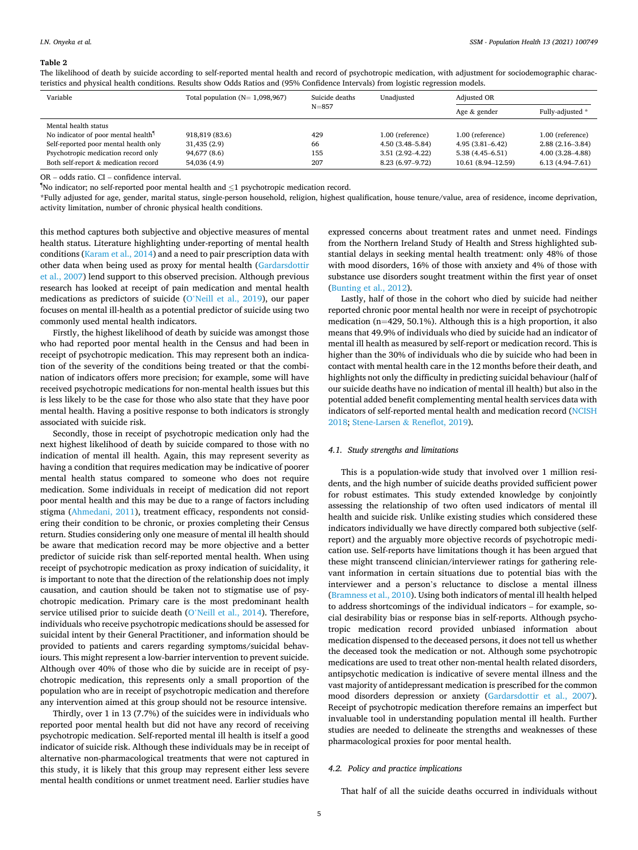#### <span id="page-5-0"></span>**Table 2**

The likelihood of death by suicide according to self-reported mental health and record of psychotropic medication, with adjustment for sociodemographic characteristics and physical health conditions. Results show Odds Ratios and (95% Confidence Intervals) from logistic regression models.

| Variable                                        | Total population $(N=1,098,967)$ | Suicide deaths<br>$N = 857$ | Unadiusted          | Adjusted OR         |                     |
|-------------------------------------------------|----------------------------------|-----------------------------|---------------------|---------------------|---------------------|
|                                                 |                                  |                             |                     | Age & gender        | Fully-adjusted *    |
| Mental health status                            |                                  |                             |                     |                     |                     |
| No indicator of poor mental health <sup>1</sup> | 918,819 (83.6)                   | 429                         | 1.00 (reference)    | 1.00 (reference)    | 1.00 (reference)    |
| Self-reported poor mental health only           | 31,435(2.9)                      | 66                          | 4.50 (3.48–5.84)    | $4.95(3.81 - 6.42)$ | $2.88(2.16-3.84)$   |
| Psychotropic medication record only             | 94,677 (8.6)                     | 155                         | $3.51(2.92 - 4.22)$ | $5.38(4.45 - 6.51)$ | $4.00(3.28 - 4.88)$ |
| Both self-report & medication record            | 54,036 (4.9)                     | 207                         | 8.23 (6.97-9.72)    | 10.61 (8.94-12.59)  | $6.13(4.94 - 7.61)$ |

OR – odds ratio. CI – confidence interval.

¶ No indicator; no self-reported poor mental health and ≤1 psychotropic medication record.

\*Fully adjusted for age, gender, marital status, single-person household, religion, highest qualification, house tenure/value, area of residence, income deprivation, activity limitation, number of chronic physical health conditions.

this method captures both subjective and objective measures of mental health status. Literature highlighting under-reporting of mental health conditions [\(Karam et al., 2014\)](#page-7-0) and a need to pair prescription data with other data when being used as proxy for mental health [\(Gardarsdottir](#page-6-0)  [et al., 2007](#page-6-0)) lend support to this observed precision. Although previous research has looked at receipt of pain medication and mental health medications as predictors of suicide (O'[Neill et al., 2019\)](#page-7-0), our paper focuses on mental ill-health as a potential predictor of suicide using two commonly used mental health indicators.

Firstly, the highest likelihood of death by suicide was amongst those who had reported poor mental health in the Census and had been in receipt of psychotropic medication. This may represent both an indication of the severity of the conditions being treated or that the combination of indicators offers more precision; for example, some will have received psychotropic medications for non-mental health issues but this is less likely to be the case for those who also state that they have poor mental health. Having a positive response to both indicators is strongly associated with suicide risk.

Secondly, those in receipt of psychotropic medication only had the next highest likelihood of death by suicide compared to those with no indication of mental ill health. Again, this may represent severity as having a condition that requires medication may be indicative of poorer mental health status compared to someone who does not require medication. Some individuals in receipt of medication did not report poor mental health and this may be due to a range of factors including stigma ([Ahmedani, 2011](#page-6-0)), treatment efficacy, respondents not considering their condition to be chronic, or proxies completing their Census return. Studies considering only one measure of mental ill health should be aware that medication record may be more objective and a better predictor of suicide risk than self-reported mental health. When using receipt of psychotropic medication as proxy indication of suicidality, it is important to note that the direction of the relationship does not imply causation, and caution should be taken not to stigmatise use of psychotropic medication. Primary care is the most predominant health service utilised prior to suicide death (O'[Neill et al., 2014](#page-7-0)). Therefore, individuals who receive psychotropic medications should be assessed for suicidal intent by their General Practitioner, and information should be provided to patients and carers regarding symptoms/suicidal behaviours. This might represent a low-barrier intervention to prevent suicide. Although over 40% of those who die by suicide are in receipt of psychotropic medication, this represents only a small proportion of the population who are in receipt of psychotropic medication and therefore any intervention aimed at this group should not be resource intensive.

Thirdly, over 1 in 13 (7.7%) of the suicides were in individuals who reported poor mental health but did not have any record of receiving psychotropic medication. Self-reported mental ill health is itself a good indicator of suicide risk. Although these individuals may be in receipt of alternative non-pharmacological treatments that were not captured in this study, it is likely that this group may represent either less severe mental health conditions or unmet treatment need. Earlier studies have expressed concerns about treatment rates and unmet need. Findings from the Northern Ireland Study of Health and Stress highlighted substantial delays in seeking mental health treatment: only 48% of those with mood disorders, 16% of those with anxiety and 4% of those with substance use disorders sought treatment within the first year of onset ([Bunting et al., 2012\)](#page-6-0).

Lastly, half of those in the cohort who died by suicide had neither reported chronic poor mental health nor were in receipt of psychotropic medication (n=429, 50.1%). Although this is a high proportion, it also means that 49.9% of individuals who died by suicide had an indicator of mental ill health as measured by self-report or medication record. This is higher than the 30% of individuals who die by suicide who had been in contact with mental health care in the 12 months before their death, and highlights not only the difficulty in predicting suicidal behaviour (half of our suicide deaths have no indication of mental ill health) but also in the potential added benefit complementing mental health services data with indicators of self-reported mental health and medication record [\(NCISH](#page-7-0)  [2018;](#page-7-0) Stene-Larsen & [Reneflot, 2019\)](#page-7-0).

## *4.1. Study strengths and limitations*

This is a population-wide study that involved over 1 million residents, and the high number of suicide deaths provided sufficient power for robust estimates. This study extended knowledge by conjointly assessing the relationship of two often used indicators of mental ill health and suicide risk. Unlike existing studies which considered these indicators individually we have directly compared both subjective (selfreport) and the arguably more objective records of psychotropic medication use. Self-reports have limitations though it has been argued that these might transcend clinician/interviewer ratings for gathering relevant information in certain situations due to potential bias with the interviewer and a person's reluctance to disclose a mental illness ([Bramness et al., 2010\)](#page-6-0). Using both indicators of mental ill health helped to address shortcomings of the individual indicators – for example, social desirability bias or response bias in self-reports. Although psychotropic medication record provided unbiased information about medication dispensed to the deceased persons, it does not tell us whether the deceased took the medication or not. Although some psychotropic medications are used to treat other non-mental health related disorders, antipsychotic medication is indicative of severe mental illness and the vast majority of antidepressant medication is prescribed for the common mood disorders depression or anxiety ([Gardarsdottir et al., 2007](#page-6-0)). Receipt of psychotropic medication therefore remains an imperfect but invaluable tool in understanding population mental ill health. Further studies are needed to delineate the strengths and weaknesses of these pharmacological proxies for poor mental health.

### *4.2. Policy and practice implications*

That half of all the suicide deaths occurred in individuals without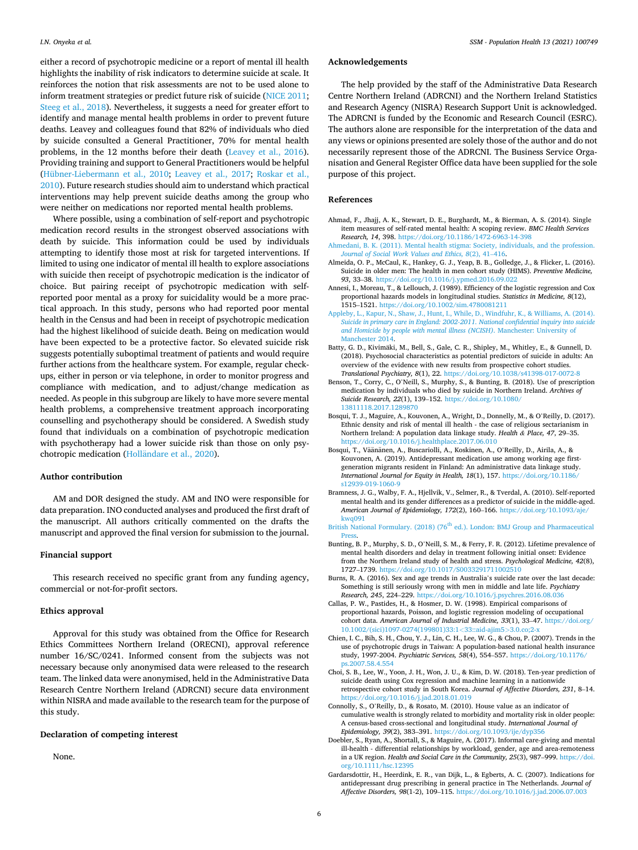<span id="page-6-0"></span>either a record of psychotropic medicine or a report of mental ill health highlights the inability of risk indicators to determine suicide at scale. It reinforces the notion that risk assessments are not to be used alone to inform treatment strategies or predict future risk of suicide [\(NICE 2011](#page-7-0); [Steeg et al., 2018\)](#page-7-0). Nevertheless, it suggests a need for greater effort to identify and manage mental health problems in order to prevent future deaths. Leavey and colleagues found that 82% of individuals who died by suicide consulted a General Practitioner, 70% for mental health problems, in the 12 months before their death ([Leavey et al., 2016](#page-7-0)). Providing training and support to General Practitioners would be helpful ([Hübner-Liebermann et al., 2010;](#page-7-0) [Leavey et al., 2017](#page-7-0); [Roskar et al.,](#page-7-0)  [2010\)](#page-7-0). Future research studies should aim to understand which practical interventions may help prevent suicide deaths among the group who were neither on medications nor reported mental health problems.

Where possible, using a combination of self-report and psychotropic medication record results in the strongest observed associations with death by suicide. This information could be used by individuals attempting to identify those most at risk for targeted interventions. If limited to using one indicator of mental ill health to explore associations with suicide then receipt of psychotropic medication is the indicator of choice. But pairing receipt of psychotropic medication with selfreported poor mental as a proxy for suicidality would be a more practical approach. In this study, persons who had reported poor mental health in the Census and had been in receipt of psychotropic medication had the highest likelihood of suicide death. Being on medication would have been expected to be a protective factor. So elevated suicide risk suggests potentially suboptimal treatment of patients and would require further actions from the healthcare system. For example, regular checkups, either in person or via telephone, in order to monitor progress and compliance with medication, and to adjust/change medication as needed. As people in this subgroup are likely to have more severe mental health problems, a comprehensive treatment approach incorporating counselling and psychotherapy should be considered. A Swedish study found that individuals on a combination of psychotropic medication with psychotherapy had a lower suicide risk than those on only psychotropic medication (Holländare et al., 2020).

### **Author contribution**

AM and DOR designed the study. AM and INO were responsible for data preparation. INO conducted analyses and produced the first draft of the manuscript. All authors critically commented on the drafts the manuscript and approved the final version for submission to the journal.

## **Financial support**

This research received no specific grant from any funding agency, commercial or not-for-profit sectors.

### **Ethics approval**

Approval for this study was obtained from the Office for Research Ethics Committees Northern Ireland (ORECNI), approval reference number 16/SC/0241. Informed consent from the subjects was not necessary because only anonymised data were released to the research team. The linked data were anonymised, held in the Administrative Data Research Centre Northern Ireland (ADRCNI) secure data environment within NISRA and made available to the research team for the purpose of this study.

## **Declaration of competing interest**

None.

#### **Acknowledgements**

The help provided by the staff of the Administrative Data Research Centre Northern Ireland (ADRCNI) and the Northern Ireland Statistics and Research Agency (NISRA) Research Support Unit is acknowledged. The ADRCNI is funded by the Economic and Research Council (ESRC). The authors alone are responsible for the interpretation of the data and any views or opinions presented are solely those of the author and do not necessarily represent those of the ADRCNI. The Business Service Organisation and General Register Office data have been supplied for the sole purpose of this project.

#### **References**

- Ahmad, F., Jhajj, A. K., Stewart, D. E., Burghardt, M., & Bierman, A. S. (2014). Single item measures of self-rated mental health: A scoping review. *BMC Health Services Research, 14*, 398. <https://doi.org/10.1186/1472-6963-14-398>
- [Ahmedani, B. K. \(2011\). Mental health stigma: Society, individuals, and the profession.](http://refhub.elsevier.com/S2352-8273(21)00024-0/sref2)  *[Journal of Social Work Values and Ethics, 8](http://refhub.elsevier.com/S2352-8273(21)00024-0/sref2)*(2), 41–416.
- Almeida, O. P., McCaul, K., Hankey, G. J., Yeap, B. B., Golledge, J., & Flicker, L. (2016). Suicide in older men: The health in men cohort study (HIMS). *Preventive Medicine, 93*, 33–38. <https://doi.org/10.1016/j.ypmed.2016.09.022>
- Annesi, I., Moreau, T., & Lellouch, J. (1989). Efficiency of the logistic regression and Cox proportional hazards models in longitudinal studies. *Statistics in Medicine, 8*(12), 1515–1521.<https://doi.org/10.1002/sim.4780081211>
- [Appleby, L., Kapur, N., Shaw, J., Hunt, I., While, D., Windfuhr, K., & Williams, A. \(2014\).](http://refhub.elsevier.com/S2352-8273(21)00024-0/sref5)  *[Suicide in primary care in England: 2002-2011. National confidential inquiry into suicide](http://refhub.elsevier.com/S2352-8273(21)00024-0/sref5)  [and Homicide by people with mental illness \(NCISH\)](http://refhub.elsevier.com/S2352-8273(21)00024-0/sref5)*. Manchester: University of [Manchester 2014.](http://refhub.elsevier.com/S2352-8273(21)00024-0/sref5)
- Batty, G. D., Kivimäki, M., Bell, S., Gale, C. R., Shipley, M., Whitley, E., & Gunnell, D. (2018). Psychosocial characteristics as potential predictors of suicide in adults: An overview of the evidence with new results from prospective cohort studies. *Translational Psychiatry, 8*(1), 22. <https://doi.org/10.1038/s41398-017-0072-8>
- Benson, T., Corry, C., O'Neill, S., Murphy, S., & Bunting, B. (2018). Use of prescription medication by individuals who died by suicide in Northern Ireland. *Archives of Suicide Research, 22*(1), 139–152. [https://doi.org/10.1080/](https://doi.org/10.1080/13811118.2017.1289870) 13811118.2017.128
- Bosqui, T. J., Maguire, A., Kouvonen, A., Wright, D., Donnelly, M., & O'Reilly, D. (2017). Ethnic density and risk of mental ill health - the case of religious sectarianism in Northern Ireland: A population data linkage study. *Health & Place, 47*, 29–35. <https://doi.org/10.1016/j.healthplace.2017.06.010>
- Bosqui, T., Väänänen, A., Buscariolli, A., Koskinen, A., O'Reilly, D., Airila, A., & Kouvonen, A. (2019). Antidepressant medication use among working age firstgeneration migrants resident in Finland: An administrative data linkage study. *International Journal for Equity in Health, 18*(1), 157. [https://doi.org/10.1186/](https://doi.org/10.1186/s12939-019-1060-9) [s12939-019-1060-9](https://doi.org/10.1186/s12939-019-1060-9)
- Bramness, J. G., Walby, F. A., Hjellvik, V., Selmer, R., & Tverdal, A. (2010). Self-reported mental health and its gender differences as a predictor of suicide in the middle-aged. *American Journal of Epidemiology, 172*(2), 160–166. [https://doi.org/10.1093/aje/](https://doi.org/10.1093/aje/kwq091) [kwq091](https://doi.org/10.1093/aje/kwq091)
- British National Formulary. (2018) (76<sup>th</sup> ed.). London: BMJ Group and Pharmaceutical [Press.](http://refhub.elsevier.com/S2352-8273(21)00024-0/sref11)
- Bunting, B. P., Murphy, S. D., O'Neill, S. M., & Ferry, F. R. (2012). Lifetime prevalence of mental health disorders and delay in treatment following initial onset: Evidence from the Northern Ireland study of health and stress. *Psychological Medicine, 42*(8), 1727–1739.<https://doi.org/10.1017/S0033291711002510>
- Burns, R. A. (2016). Sex and age trends in Australia's suicide rate over the last decade: Something is still seriously wrong with men in middle and late life. *Psychiatry Research, 245*, 224–229.<https://doi.org/10.1016/j.psychres.2016.08.036>
- Callas, P. W., Pastides, H., & Hosmer, D. W. (1998). Empirical comparisons of proportional hazards, Poisson, and logistic regression modeling of occupational cohort data. *American Journal of Industrial Medicine, 33*(1), 33–47. [https://doi.org/](https://doi.org/10.1002/(sici)1097-0274(199801)33:1<33::aid-ajim5>3.0.co;2-x) [10.1002/\(sici\)1097-0274\(199801\)33:1](https://doi.org/10.1002/(sici)1097-0274(199801)33:1<33::aid-ajim5>3.0.co;2-x)*<*33::aid-ajim5*>*3.0.co;2-x
- Chien, I. C., Bih, S. H., Chou, Y. J., Lin, C. H., Lee, W. G., & Chou, P. (2007). Trends in the use of psychotropic drugs in Taiwan: A population-based national health insurance study, 1997-2004. *Psychiatric Services, 58*(4), 554–557. [https://doi.org/10.1176/](https://doi.org/10.1176/ps.2007.58.4.554) [ps.2007.58.4.554](https://doi.org/10.1176/ps.2007.58.4.554)
- Choi, S. B., Lee, W., Yoon, J. H., Won, J. U., & Kim, D. W. (2018). Ten-year prediction of suicide death using Cox regression and machine learning in a nationwide retrospective cohort study in South Korea. *Journal of Affective Disorders, 231*, 8–14. <https://doi.org/10.1016/j.jad.2018.01.019>
- Connolly, S., O'Reilly, D., & Rosato, M. (2010). House value as an indicator of cumulative wealth is strongly related to morbidity and mortality risk in older people: A census-based cross-sectional and longitudinal study. *International Journal of Epidemiology, 39*(2), 383–391. <https://doi.org/10.1093/ije/dyp356>
- Doebler, S., Ryan, A., Shortall, S., & Maguire, A. (2017). Informal care-giving and mental ill-health - differential relationships by workload, gender, age and area-remoteness in a UK region. *Health and Social Care in the Community, 25*(3), 987–999. [https://doi.](https://doi.org/10.1111/hsc.12395)  [org/10.1111/hsc.12395](https://doi.org/10.1111/hsc.12395)
- Gardarsdottir, H., Heerdink, E. R., van Dijk, L., & Egberts, A. C. (2007). Indications for antidepressant drug prescribing in general practice in The Netherlands. *Journal of Affective Disorders, 98*(1-2), 109–115.<https://doi.org/10.1016/j.jad.2006.07.003>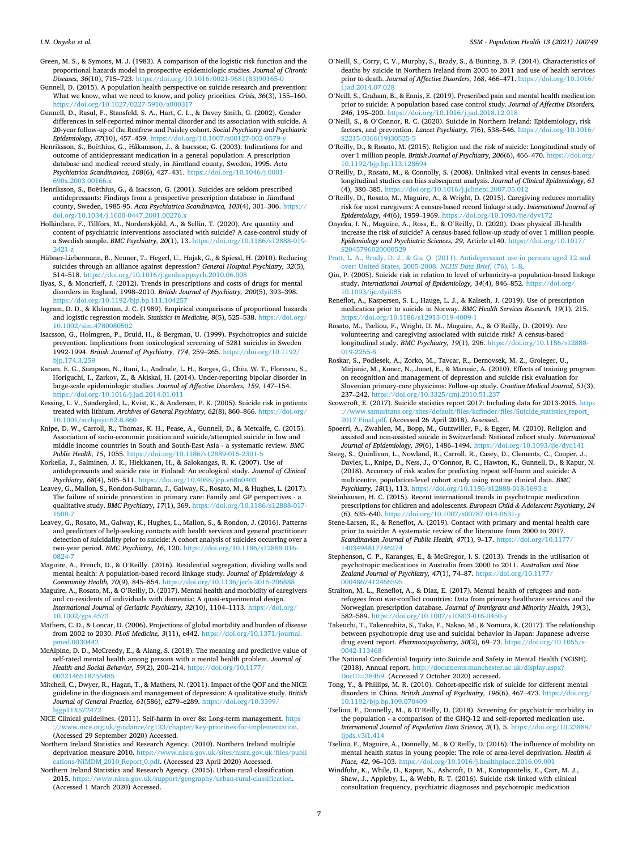- <span id="page-7-0"></span>Green, M. S., & Symons, M. J. (1983). A comparison of the logistic risk function and the proportional hazards model in prospective epidemiologic studies. *Journal of Chronic Diseases, 36*(10), 715–723. [https://doi.org/10.1016/0021-9681\(83\)90165-0](https://doi.org/10.1016/0021-9681(83)90165-0)
- Gunnell, D. (2015). A population health perspective on suicide research and prevention: What we know, what we need to know, and policy priorities. *Crisis, 36*(3), 155–160. <https://doi.org/10.1027/0227-5910/a000317>
- Gunnell, D., Rasul, F., Stansfeld, S. A., Hart, C. L., & Davey Smith, G. (2002). Gender differences in self-reported minor mental disorder and its association with suicide. A 20-year follow-up of the Renfrew and Paisley cohort. *Social Psychiatry and Psychiatric Epidemiology, 37*(10), 457–459.<https://doi.org/10.1007/s00127-002-0579-y>
- Henriksson, S., Boëthius, G., Håkansson, J., & Isacsson, G. (2003). Indications for and outcome of antidepressant medication in a general population: A prescription database and medical record study, in Jämtland county, Sweden, 1995. Acta *Psychiatrica Scandinavica, 108*(6), 427–431. [https://doi.org/10.1046/j.0001-](https://doi.org/10.1046/j.0001-690x.2003.00166.x)  [690x.2003.00166.x](https://doi.org/10.1046/j.0001-690x.2003.00166.x)
- Henriksson, S., Boëthius, G., & Isacsson, G. (2001). Suicides are seldom prescribed antidepressants: Findings from a prospective prescription database in Jämtland county, Sweden, 1985-95. *Acta Psychiatrica Scandinavica, 103*(4), 301–306. [https://](https://doi.org/10.1034/j.1600-0447.2001.00276.x)  [doi.org/10.1034/j.1600-0447.2001.00276.x](https://doi.org/10.1034/j.1600-0447.2001.00276.x)
- Holländare, F., Tillfors, M., Nordenskjöld, A., & Sellin, T. (2020). Are quantity and content of psychiatric interventions associated with suicide? A case-control study of a Swedish sample. *BMC Psychiatry, 20*(1), 13. [https://doi.org/10.1186/s12888-019-](https://doi.org/10.1186/s12888-019-2421-z)  [2421-z](https://doi.org/10.1186/s12888-019-2421-z)
- Hübner-Liebermann, B., Neuner, T., Hegerl, U., Hajak, G., & Spiessl, H. (2010). Reducing suicides through an alliance against depression? *General Hospital Psychiatry, 32*(5), 514–518. <https://doi.org/10.1016/j.genhosppsych.2010.06.008>
- Ilyas, S., & Moncrieff, J. (2012). Trends in prescriptions and costs of drugs for mental disorders in England, 1998–2010. *British Journal of Psychiatry, 200*(5), 393–398. <https://doi.org/10.1192/bjp.bp.111.104257>
- Ingram, D. D., & Kleinman, J. C. (1989). Empirical comparisons of proportional hazards and logistic regression models. *Statistics in Medicine, 8*(5), 525–538. [https://doi.org/](https://doi.org/10.1002/sim.4780080502)  [10.1002/sim.4780080502](https://doi.org/10.1002/sim.4780080502)
- Isacsson, G., Holmgren, P., Druid, H., & Bergman, U. (1999). Psychotropics and suicide prevention. Implications from toxicological screening of 5281 suicides in Sweden 1992-1994. *British Journal of Psychiatry, 174*, 259–265. [https://doi.org/10.1192/](https://doi.org/10.1192/bjp.174.3.259) [bjp.174.3.259](https://doi.org/10.1192/bjp.174.3.259)
- Karam, E. G., Sampson, N., Itani, L., Andrade, L. H., Borges, G., Chiu, W. T., Florescu, S., Horiguchi, I., Zarkov, Z., & Akiskal, H. (2014). Under-reporting bipolar disorder in large-scale epidemiologic studies. *Journal of Affective Disorders, 159*, 147–154. <https://doi.org/10.1016/j.jad.2014.01.011>
- Kessing, L. V., Søndergård, L., Kvist, K., & Andersen, P. K. (2005). Suicide risk in patients treated with lithium. *Archives of General Psychiatry, 62*(8), 860–866. [https://doi.org/](https://doi.org/10.1001/archpsyc.62.8.860)  [10.1001/archpsyc.62.8.860](https://doi.org/10.1001/archpsyc.62.8.860)
- Knipe, D. W., Carroll, R., Thomas, K. H., Pease, A., Gunnell, D., & Metcalfe, C. (2015). Association of socio-economic position and suicide/attempted suicide in low and middle income countries in South and South-East Asia - a systematic review. *BMC Public Health, 15*, 1055. <https://doi.org/10.1186/s12889-015-2301-5>
- Korkeila, J., Salminen, J. K., Hiekkanen, H., & Salokangas, R. K. (2007). Use of antidepressants and suicide rate in Finland: An ecological study. *Journal of Clinical Psychiatry, 68*(4), 505–511. <https://doi.org/10.4088/jcp.v68n0403>
- Leavey, G., Mallon, S., Rondon-Sulbaran, J., Galway, K., Rosato, M., & Hughes, L. (2017). The failure of suicide prevention in primary care: Family and GP perspectives - a qualitative study. *BMC Psychiatry, 17*(1), 369. [https://doi.org/10.1186/s12888-017-](https://doi.org/10.1186/s12888-017-1508-7)  [1508-7](https://doi.org/10.1186/s12888-017-1508-7)
- Leavey, G., Rosato, M., Galway, K., Hughes, L., Mallon, S., & Rondon, J. (2016). Patterns and predictors of help-seeking contacts with health services and general practitioner detection of suicidality prior to suicide: A cohort analysis of suicides occurring over a two-year period. *BMC Psychiatry, 16*, 120. [https://doi.org/10.1186/s12888-016-](https://doi.org/10.1186/s12888-016-0824-7)  [0824-7](https://doi.org/10.1186/s12888-016-0824-7)
- Maguire, A., French, D., & O'Reilly. (2016). Residential segregation, dividing walls and mental health: A population-based record linkage study. *Journal of Epidemiology & Community Health, 70*(9), 845–854. <https://doi.org/10.1136/jech-2015-206888>
- Maguire, A., Rosato, M., & O'Reilly, D. (2017). Mental health and morbidity of caregivers and co-residents of individuals with dementia: A quasi-experimental design. *International Journal of Geriatric Psychiatry, 32*(10), 1104–1113. [https://doi.org/](https://doi.org/10.1002/gps.4573) [10.1002/gps.4573](https://doi.org/10.1002/gps.4573)
- Mathers, C. D., & Loncar, D. (2006). Projections of global mortality and burden of disease from 2002 to 2030. *PLoS Medicine, 3*(11), e442. [https://doi.org/10.1371/journal.](https://doi.org/10.1371/journal.pmed.0030442) med.0030442
- McAlpine, D. D., McCreedy, E., & Alang, S. (2018). The meaning and predictive value of self-rated mental health among persons with a mental health problem. *Journal of Health and Social Behavior, 59*(2), 200–214. [https://doi.org/10.1177/](https://doi.org/10.1177/0022146518755485)  0022146518755485
- Mitchell, C., Dwyer, R., Hagan, T., & Mathers, N. (2011). Impact of the QOF and the NICE guideline in the diagnosis and management of depression: A qualitative study. *British Journal of General Practice, 61*(586), e279–e289. [https://doi.org/10.3399/](https://doi.org/10.3399/bjgp11X572472)  [bjgp11X572472](https://doi.org/10.3399/bjgp11X572472)
- NICE Clinical guidelines. (2011). Self-harm in over 8s: Long-term management. [https](https://www.nice.org.uk/guidance/cg133/chapter/Key-priorities-for-implementation)  [://www.nice.org.uk/guidance/cg133/chapter/Key-priorities-for-implementation](https://www.nice.org.uk/guidance/cg133/chapter/Key-priorities-for-implementation). (Accessed 29 September 2020) Accessed.
- Northern Ireland Statistics and Research Agency. (2010). Northern Ireland multiple deprivation measure 2010. [https://www.nisra.gov.uk/sites/nisra.gov.uk/files/publi](https://www.nisra.gov.uk/sites/nisra.gov.uk/files/publications/NIMDM_2010_Report_0.pdf)  [cations/NIMDM\\_2010\\_Report\\_0.pdf](https://www.nisra.gov.uk/sites/nisra.gov.uk/files/publications/NIMDM_2010_Report_0.pdf). (Accessed 23 April 2020) Accessed.
- Northern Ireland Statistics and Research Agency. (2015). Urban-rural classification 2015. [https://www.nisra.gov.uk/support/geography/urban-rural-classification.](https://www.nisra.gov.uk/support/geography/urban-rural-classification) (Accessed 1 March 2020) Accessed.
- O'Neill, S., Corry, C. V., Murphy, S., Brady, S., & Bunting, B. P. (2014). Characteristics of deaths by suicide in Northern Ireland from 2005 to 2011 and use of health services prior to death. *Journal of Affective Disorders, 168*, 466–471. [https://doi.org/10.1016/](https://doi.org/10.1016/j.jad.2014.07.028)  d.2014.07.028
- O'Neill, S., Graham, B., & Ennis, E. (2019). Prescribed pain and mental health medication prior to suicide: A population based case control study. *Journal of Affective Disorders, 246*, 195–200. <https://doi.org/10.1016/j.jad.2018.12.018>
- O'Neill, S., & O'Connor, R. C. (2020). Suicide in Northern Ireland: Epidemiology, risk factors, and prevention. *Lancet Psychiatry, 7*(6), 538–546. [https://doi.org/10.1016/](https://doi.org/10.1016/S2215-0366(19)30525-5)  [S2215-0366\(19\)30525-5](https://doi.org/10.1016/S2215-0366(19)30525-5)
- O'Reilly, D., & Rosato, M. (2015). Religion and the risk of suicide: Longitudinal study of over 1 million people. *British Journal of Psychiatry, 206*(6), 466–470. [https://doi.org/](https://doi.org/10.1192/bjp.bp.113.128694)  [10.1192/bjp.bp.113.128694](https://doi.org/10.1192/bjp.bp.113.128694)
- O'Reilly, D., Rosato, M., & Connolly, S. (2008). Unlinked vital events in census-based longitudinal studies can bias subsequent analysis. *Journal of Clinical Epidemiology, 61*  (4), 380–385.<https://doi.org/10.1016/j.jclinepi.2007.05.012>
- O'Reilly, D., Rosato, M., Maguire, A., & Wright, D. (2015). Caregiving reduces mortality risk for most caregivers: A census-based record linkage study. *International Journal of Epidemiology, 44*(6), 1959–1969. <https://doi.org/10.1093/ije/dyv172>
- Onyeka, I. N., Maguire, A., Ross, E., & O'Reilly, D. (2020). Does physical ill-health increase the risk of suicide? A census-based follow-up study of over 1 million people. *Epidemiology and Psychiatric Sciences, 29*, Article e140. [https://doi.org/10.1017/](https://doi.org/10.1017/S2045796020000529)  [S2045796020000529](https://doi.org/10.1017/S2045796020000529)
- [Pratt, L. A., Brody, D. J., & Gu, Q. \(2011\). Antidepressant use in persons aged 12 and](http://refhub.elsevier.com/S2352-8273(21)00024-0/sref51)  [over: United States, 2005-2008.](http://refhub.elsevier.com/S2352-8273(21)00024-0/sref51) *NCHS Data Brief*, (76), 1–8.
- Qin, P. (2005). Suicide risk in relation to level of urbanicity–a population-based linkage study. *International Journal of Epidemiology, 34*(4), 846–852. [https://doi.org/](https://doi.org/10.1093/ije/dyi085)  [10.1093/ije/dyi085](https://doi.org/10.1093/ije/dyi085)
- Reneflot, A., Kaspersen, S. L., Hauge, L. J., & Kalseth, J. (2019). Use of prescription medication prior to suicide in Norway. *BMC Health Services Research, 19*(1), 215. <https://doi.org/10.1186/s12913-019-4009-1>
- Rosato, M., Tseliou, F., Wright, D. M., Maguire, A., & O'Reilly, D. (2019). Are volunteering and caregiving associated with suicide risk? A census-based longitudinal study. *BMC Psychiatry, 19*(1), 296. [https://doi.org/10.1186/s12888-](https://doi.org/10.1186/s12888-019-2255-8)  [019-2255-8](https://doi.org/10.1186/s12888-019-2255-8)
- Roskar, S., Podlesek, A., Zorko, M., Tavcar, R., Dernovsek, M. Z., Groleger, U., Mirjanic, M., Konec, N., Janet, E., & Marusic, A. (2010). Effects of training program on recognition and management of depression and suicide risk evaluation for Slovenian primary-care physicians: Follow-up study. *Croatian Medical Journal, 51*(3), 237–242. <https://doi.org/10.3325/cmj.2010.51.237>
- Scowcroft, E. (2017). Suicide statistics report 2017: Including data for 2013-2015. [https](https://www.samaritans.org/sites/default/files/kcfinder/files/Suicide_statistics_report_2017_Final.pdf)  [://www.samaritans.org/sites/default/files/kcfinder/files/Suicide\\_statistics\\_report\\_](https://www.samaritans.org/sites/default/files/kcfinder/files/Suicide_statistics_report_2017_Final.pdf) [2017\\_Final.pdf](https://www.samaritans.org/sites/default/files/kcfinder/files/Suicide_statistics_report_2017_Final.pdf). (Accessed 26 April 2018). Assessed.
- Spoerri, A., Zwahlen, M., Bopp, M., Gutzwiller, F., & Egger, M. (2010). Religion and assisted and non-assisted suicide in Switzerland: National cohort study. *International Journal of Epidemiology, 39*(6), 1486–1494. <https://doi.org/10.1093/ije/dyq141>
- Steeg, S., Quinlivan, L., Nowland, R., Carroll, R., Casey, D., Clements, C., Cooper, J., Davies, L., Knipe, D., Ness, J., O'Connor, R. C., Hawton, K., Gunnell, D., & Kapur, N. (2018). Accuracy of risk scales for predicting repeat self-harm and suicide: A multicentre, population-level cohort study using routine clinical data. *BMC Psychiatry, 18*(1), 113. <https://doi.org/10.1186/s12888-018-1693-z>
- Steinhausen, H. C. (2015). Recent international trends in psychotropic medication prescriptions for children and adolescents. *European Child & Adolescent Psychiatry, 24*  (6), 635–640.<https://doi.org/10.1007/s00787-014-0631-y>
- Stene-Larsen, K., & Reneflot, A. (2019). Contact with primary and mental health care prior to suicide: A systematic review of the literature from 2000 to 2017. *Scandinavian Journal of Public Health, 47*(1), 9–17. [https://doi.org/10.1177/](https://doi.org/10.1177/1403494817746274) [1403494817746274](https://doi.org/10.1177/1403494817746274)
- Stephenson, C. P., Karanges, E., & McGregor, I. S. (2013). Trends in the utilisation of psychotropic medications in Australia from 2000 to 2011. *Australian and New Zealand Journal of Psychiatry, 47*(1), 74–87. [https://doi.org/10.1177/](https://doi.org/10.1177/0004867412466595) [0004867412466595](https://doi.org/10.1177/0004867412466595)
- Straiton, M. L., Reneflot, A., & Diaz, E. (2017). Mental health of refugees and nonrefugees from war-conflict countries: Data from primary healthcare services and the Norwegian prescription database. *Journal of Immigrant and Minority Health, 19*(3), 582–589. <https://doi.org/10.1007/s10903-016-0450-y>
- Takeuchi, T., Takenoshita, S., Taka, F., Nakao, M., & Nomura, K. (2017). The relationship between psychotropic drug use and suicidal behavior in Japan: Japanese adverse drug event report. *Pharmacopsychiatry, 50*(2), 69–73. [https://doi.org/10.1055/s-](https://doi.org/10.1055/s-0042-113468)[0042-113468](https://doi.org/10.1055/s-0042-113468)
- The National Confidential Inquiry into Suicide and Safety in Mental Health (NCISH). (2018). Annual report. [http://documents.manchester.ac.uk/display.aspx?](http://documents.manchester.ac.uk/display.aspx?DocID=38469) DocID=[38469.](http://documents.manchester.ac.uk/display.aspx?DocID=38469) (Accessed 7 October 2020) accessed.
- Tong, Y., & Phillips, M. R. (2010). Cohort-specific risk of suicide for different mental disorders in China. *British Journal of Psychiatry, 196*(6), 467–473. [https://doi.org/](https://doi.org/10.1192/bjp.bp.109.070409) [10.1192/bjp.bp.109.070409](https://doi.org/10.1192/bjp.bp.109.070409)
- Tseliou, F., Donnelly, M., & O'Reilly, D. (2018). Screening for psychiatric morbidity in the population - a comparison of the GHQ-12 and self-reported medication use. *International Journal of Population Data Science, 3*(1), 5. [https://doi.org/10.23889/](https://doi.org/10.23889/ijpds.v3i1.414)  [ijpds.v3i1.414](https://doi.org/10.23889/ijpds.v3i1.414)
- Tseliou, F., Maguire, A., Donnelly, M., & O'Reilly, D. (2016). The influence of mobility on mental health status in young people: The role of area-level deprivation. *Health & Place, 42*, 96–103. <https://doi.org/10.1016/j.healthplace.2016.09.001>
- Windfuhr, K., While, D., Kapur, N., Ashcroft, D. M., Kontopantelis, E., Carr, M. J., Shaw, J., Appleby, L., & Webb, R. T. (2016). Suicide risk linked with clinical consultation frequency, psychiatric diagnoses and psychotropic medication